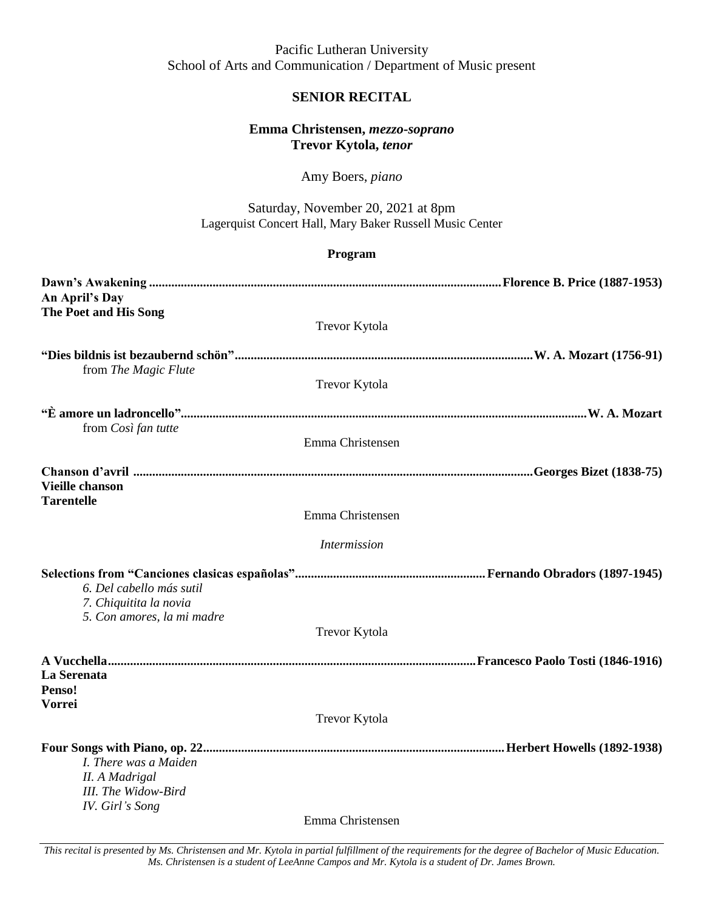Pacific Lutheran University School of Arts and Communication / Department of Music present

## **SENIOR RECITAL**

## **Emma Christensen,** *mezzo-soprano* **Trevor Kytola,** *tenor*

Amy Boers, *piano*

Saturday, November 20, 2021 at 8pm Lagerquist Concert Hall, Mary Baker Russell Music Center

|                                                                                   | Program              |  |
|-----------------------------------------------------------------------------------|----------------------|--|
| An April's Day                                                                    |                      |  |
| The Poet and His Song                                                             | Trevor Kytola        |  |
| from The Magic Flute                                                              |                      |  |
|                                                                                   | Trevor Kytola        |  |
| from Così fan tutte                                                               |                      |  |
|                                                                                   | Emma Christensen     |  |
|                                                                                   |                      |  |
| <b>Vieille chanson</b><br><b>Tarentelle</b>                                       | Emma Christensen     |  |
|                                                                                   |                      |  |
|                                                                                   | Intermission         |  |
| 6. Del cabello más sutil<br>7. Chiquitita la novia                                |                      |  |
| 5. Con amores, la mi madre                                                        | Trevor Kytola        |  |
|                                                                                   |                      |  |
| La Serenata<br>Penso!<br><b>Vorrei</b>                                            |                      |  |
|                                                                                   | <b>Trevor Kytola</b> |  |
| I. There was a Maiden<br>II. A Madrigal<br>III. The Widow-Bird<br>IV. Girl's Song | Emma Christensen     |  |

*This recital is presented by Ms. Christensen and Mr. Kytola in partial fulfillment of the requirements for the degree of Bachelor of Music Education. Ms. Christensen is a student of LeeAnne Campos and Mr. Kytola is a student of Dr. James Brown.*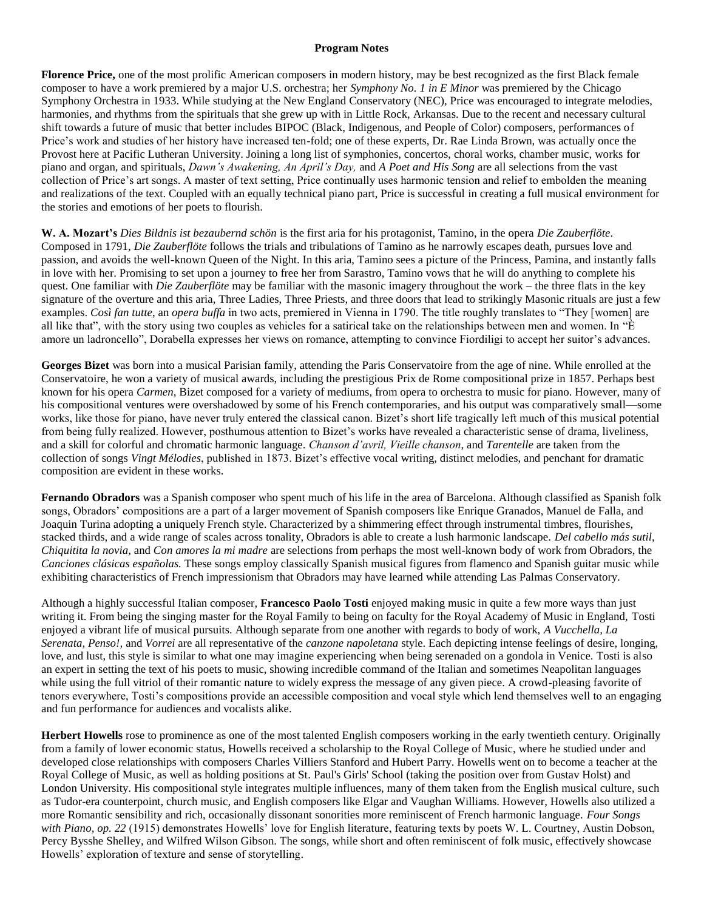## **Program Notes**

**Florence Price,** one of the most prolific American composers in modern history, may be best recognized as the first Black female composer to have a work premiered by a major U.S. orchestra; her *Symphony No. 1 in E Minor* was premiered by the Chicago Symphony Orchestra in 1933. While studying at the New England Conservatory (NEC), Price was encouraged to integrate melodies, harmonies, and rhythms from the spirituals that she grew up with in Little Rock, Arkansas. Due to the recent and necessary cultural shift towards a future of music that better includes BIPOC (Black, Indigenous, and People of Color) composers, performances of Price's work and studies of her history have increased ten-fold; one of these experts, Dr. Rae Linda Brown, was actually once the Provost here at Pacific Lutheran University. Joining a long list of symphonies, concertos, choral works, chamber music, works for piano and organ, and spirituals, *Dawn's Awakening, An April's Day,* and *A Poet and His Song* are all selections from the vast collection of Price's art songs. A master of text setting, Price continually uses harmonic tension and relief to embolden the meaning and realizations of the text. Coupled with an equally technical piano part, Price is successful in creating a full musical environment for the stories and emotions of her poets to flourish.

**W. A. Mozart's** *Dies Bildnis ist bezaubernd schön* is the first aria for his protagonist, Tamino, in the opera *Die Zauberflöte*. Composed in 1791, *Die Zauberflöte* follows the trials and tribulations of Tamino as he narrowly escapes death, pursues love and passion, and avoids the well-known Queen of the Night. In this aria, Tamino sees a picture of the Princess, Pamina, and instantly falls in love with her. Promising to set upon a journey to free her from Sarastro, Tamino vows that he will do anything to complete his quest. One familiar with *Die Zauberflöte* may be familiar with the masonic imagery throughout the work – the three flats in the key signature of the overture and this aria, Three Ladies, Three Priests, and three doors that lead to strikingly Masonic rituals are just a few examples. *Così fan tutte*, an *opera buffa* in two acts, premiered in Vienna in 1790. The title roughly translates to "They [women] are all like that", with the story using two couples as vehicles for a satirical take on the relationships between men and women. In " $\dot{E}$ amore un ladroncello", Dorabella expresses her views on romance, attempting to convince Fiordiligi to accept her suitor's advances.

**Georges Bizet** was born into a musical Parisian family, attending the Paris Conservatoire from the age of nine. While enrolled at the Conservatoire, he won a variety of musical awards, including the prestigious Prix de Rome compositional prize in 1857. Perhaps best known for his opera *Carmen*, Bizet composed for a variety of mediums, from opera to orchestra to music for piano. However, many of his compositional ventures were overshadowed by some of his French contemporaries, and his output was comparatively small—some works, like those for piano, have never truly entered the classical canon. Bizet's short life tragically left much of this musical potential from being fully realized. However, posthumous attention to Bizet's works have revealed a characteristic sense of drama, liveliness, and a skill for colorful and chromatic harmonic language. *Chanson d'avril, Vieille chanson*, and *Tarentelle* are taken from the collection of songs *Vingt Mélodies*, published in 1873. Bizet's effective vocal writing, distinct melodies, and penchant for dramatic composition are evident in these works.

**Fernando Obradors** was a Spanish composer who spent much of his life in the area of Barcelona. Although classified as Spanish folk songs, Obradors' compositions are a part of a larger movement of Spanish composers like Enrique Granados, Manuel de Falla, and Joaquin Turina adopting a uniquely French style. Characterized by a shimmering effect through instrumental timbres, flourishes, stacked thirds, and a wide range of scales across tonality, Obradors is able to create a lush harmonic landscape. *Del cabello más sutil, Chiquitita la novia,* and *Con amores la mi madre* are selections from perhaps the most well-known body of work from Obradors, the *Canciones clásicas españolas.* These songs employ classically Spanish musical figures from flamenco and Spanish guitar music while exhibiting characteristics of French impressionism that Obradors may have learned while attending Las Palmas Conservatory.

Although a highly successful Italian composer, **Francesco Paolo Tosti** enjoyed making music in quite a few more ways than just writing it. From being the singing master for the Royal Family to being on faculty for the Royal Academy of Music in England, Tosti enjoyed a vibrant life of musical pursuits. Although separate from one another with regards to body of work, *A Vucchella, La Serenata, Penso!,* and *Vorrei* are all representative of the *canzone napoletana* style. Each depicting intense feelings of desire, longing, love, and lust, this style is similar to what one may imagine experiencing when being serenaded on a gondola in Venice. Tosti is also an expert in setting the text of his poets to music, showing incredible command of the Italian and sometimes Neapolitan languages while using the full vitriol of their romantic nature to widely express the message of any given piece. A crowd-pleasing favorite of tenors everywhere, Tosti's compositions provide an accessible composition and vocal style which lend themselves well to an engaging and fun performance for audiences and vocalists alike.

**Herbert Howells** rose to prominence as one of the most talented English composers working in the early twentieth century. Originally from a family of lower economic status, Howells received a scholarship to the Royal College of Music, where he studied under and developed close relationships with composers Charles Villiers Stanford and Hubert Parry. Howells went on to become a teacher at the Royal College of Music, as well as holding positions at St. Paul's Girls' School (taking the position over from Gustav Holst) and London University. His compositional style integrates multiple influences, many of them taken from the English musical culture, such as Tudor-era counterpoint, church music, and English composers like Elgar and Vaughan Williams. However, Howells also utilized a more Romantic sensibility and rich, occasionally dissonant sonorities more reminiscent of French harmonic language. *Four Songs with Piano, op. 22* (1915) demonstrates Howells' love for English literature, featuring texts by poets W. L. Courtney, Austin Dobson, Percy Bysshe Shelley, and Wilfred Wilson Gibson. The songs, while short and often reminiscent of folk music, effectively showcase Howells' exploration of texture and sense of storytelling.